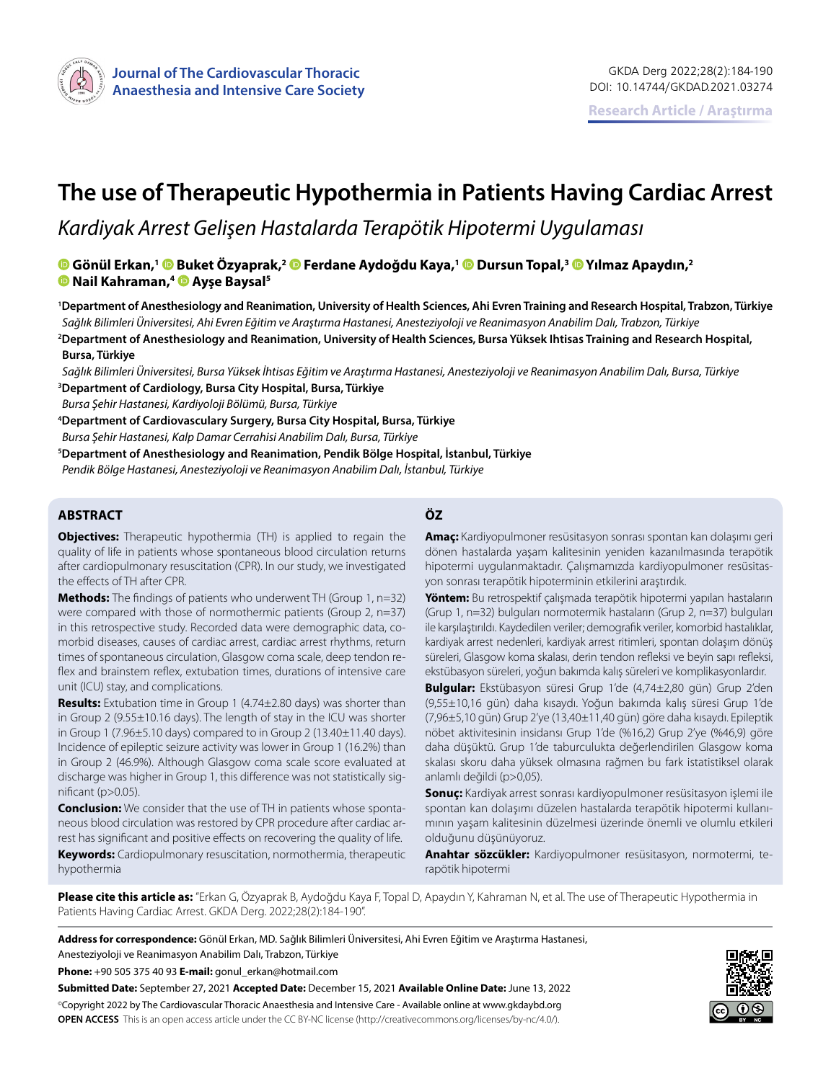

# **The use of Therapeutic Hypothermia in Patients Having Cardiac Arrest**

# *Kardiyak Arrest Gelişen Hastalarda Terapötik Hipotermi Uygulaması*

**Gönül Erkan,1Buket Özyaprak,[2 F](https://orcid.org/0000-0002-7496-1862)erdane Aydoğdu Kaya,[1 D](https://orcid.org/0000-0001-7053-2131)ursun Topal,3 [Y](https://orcid.org/0000-0003-0583-8198)ılmaz Apaydın,2 Nail Kahraman,[4 A](https://orcid.org/0000-0002-1487-7407)yşe Baysal5**

**1 Department of Anesthesiology and Reanimation, University of Health Sciences, Ahi Evren Training and Research Hospital, Trabzon, Türkiye** *Sağlık Bilimleri Üniversitesi, Ahi Evren Eğitim ve Araştırma Hastanesi, Anesteziyoloji ve Reanimasyon Anabilim Dalı, Trabzon, Türkiye* **2 Department of Anesthesiology and Reanimation, University of Health Sciences, Bursa Yüksek Ihtisas Training and Research Hospital, Bursa, Türkiye**

*Sağlık Bilimleri Üniversitesi, Bursa Yüksek İhtisas Eğitim ve Araştırma Hastanesi, Anesteziyoloji ve Reanimasyon Anabilim Dalı, Bursa, Türkiye* **3 Department of Cardiology, Bursa City Hospital, Bursa, Türkiye**

*Bursa Şehir Hastanesi, Kardiyoloji Bölümü, Bursa, Türkiye*

**4 Department of Cardiovasculary Surgery, Bursa City Hospital, Bursa, Türkiye**

*Bursa Şehir Hastanesi, Kalp Damar Cerrahisi Anabilim Dalı, Bursa, Türkiye*

**5 Department of Anesthesiology and Reanimation, Pendik Bölge Hospital, İstanbul, Türkiye**

*Pendik Bölge Hastanesi, Anesteziyoloji ve Reanimasyon Anabilim Dalı, İstanbul, Türkiye*

#### **ABSTRACT ÖZ**

**Objectives:** Therapeutic hypothermia (TH) is applied to regain the quality of life in patients whose spontaneous blood circulation returns after cardiopulmonary resuscitation (CPR). In our study, we investigated the effects of TH after CPR.

**Methods:** The findings of patients who underwent TH (Group 1, n=32) were compared with those of normothermic patients (Group 2, n=37) in this retrospective study. Recorded data were demographic data, comorbid diseases, causes of cardiac arrest, cardiac arrest rhythms, return times of spontaneous circulation, Glasgow coma scale, deep tendon reflex and brainstem reflex, extubation times, durations of intensive care unit (ICU) stay, and complications.

**Results:** Extubation time in Group 1 (4.74±2.80 days) was shorter than in Group 2 (9.55±10.16 days). The length of stay in the ICU was shorter in Group 1 (7.96±5.10 days) compared to in Group 2 (13.40±11.40 days). Incidence of epileptic seizure activity was lower in Group 1 (16.2%) than in Group 2 (46.9%). Although Glasgow coma scale score evaluated at discharge was higher in Group 1, this difference was not statistically significant (p>0.05).

**Conclusion:** We consider that the use of TH in patients whose spontaneous blood circulation was restored by CPR procedure after cardiac arrest has significant and positive effects on recovering the quality of life. **Keywords:** Cardiopulmonary resuscitation, normothermia, therapeutic hypothermia

**Amaç:** Kardiyopulmoner resüsitasyon sonrası spontan kan dolaşımı geri dönen hastalarda yaşam kalitesinin yeniden kazanılmasında terapötik hipotermi uygulanmaktadır. Çalışmamızda kardiyopulmoner resüsitasyon sonrası terapötik hipoterminin etkilerini araştırdık.

**Yöntem:** Bu retrospektif çalışmada terapötik hipotermi yapılan hastaların (Grup 1, n=32) bulguları normotermik hastaların (Grup 2, n=37) bulguları ile karşılaştırıldı. Kaydedilen veriler; demografik veriler, komorbid hastalıklar, kardiyak arrest nedenleri, kardiyak arrest ritimleri, spontan dolaşım dönüş süreleri, Glasgow koma skalası, derin tendon refleksi ve beyin sapı refleksi, ekstübasyon süreleri, yoğun bakımda kalış süreleri ve komplikasyonlardır.

**Bulgular:** Ekstübasyon süresi Grup 1'de (4,74±2,80 gün) Grup 2'den (9,55±10,16 gün) daha kısaydı. Yoğun bakımda kalış süresi Grup 1'de (7,96±5,10 gün) Grup 2'ye (13,40±11,40 gün) göre daha kısaydı. Epileptik nöbet aktivitesinin insidansı Grup 1'de (%16,2) Grup 2'ye (%46,9) göre daha düşüktü. Grup 1'de taburculukta değerlendirilen Glasgow koma skalası skoru daha yüksek olmasına rağmen bu fark istatistiksel olarak anlamlı değildi (p>0,05).

**Sonuç:** Kardiyak arrest sonrası kardiyopulmoner resüsitasyon işlemi ile spontan kan dolaşımı düzelen hastalarda terapötik hipotermi kullanımının yaşam kalitesinin düzelmesi üzerinde önemli ve olumlu etkileri olduğunu düşünüyoruz.

**Anahtar sözcükler:** Kardiyopulmoner resüsitasyon, normotermi, terapötik hipotermi

**Please cite this article as:** "Erkan G, Özyaprak B, Aydoğdu Kaya F, Topal D, Apaydın Y, Kahraman N, et al. The use of Therapeutic Hypothermia in Patients Having Cardiac Arrest. GKDA Derg. 2022;28(2):184-190".

**Address for correspondence:** Gönül Erkan, MD. Sağlık Bilimleri Üniversitesi, Ahi Evren Eğitim ve Araştırma Hastanesi,

Anesteziyoloji ve Reanimasyon Anabilim Dalı, Trabzon, Türkiye

**Phone:** +90 505 375 40 93 **E-mail:** gonul\_erkan@hotmail.com

**Submitted Date:** September 27, 2021 **Accepted Date:** December 15, 2021 **Available Online Date:** June 13, 2022 ©Copyright 2022 by The Cardiovascular Thoracic Anaesthesia and Intensive Care - Available online at www.gkdaybd.org **OPEN ACCESS** This is an open access article under the CC BY-NC license (http://creativecommons.org/licenses/by-nc/4.0/).

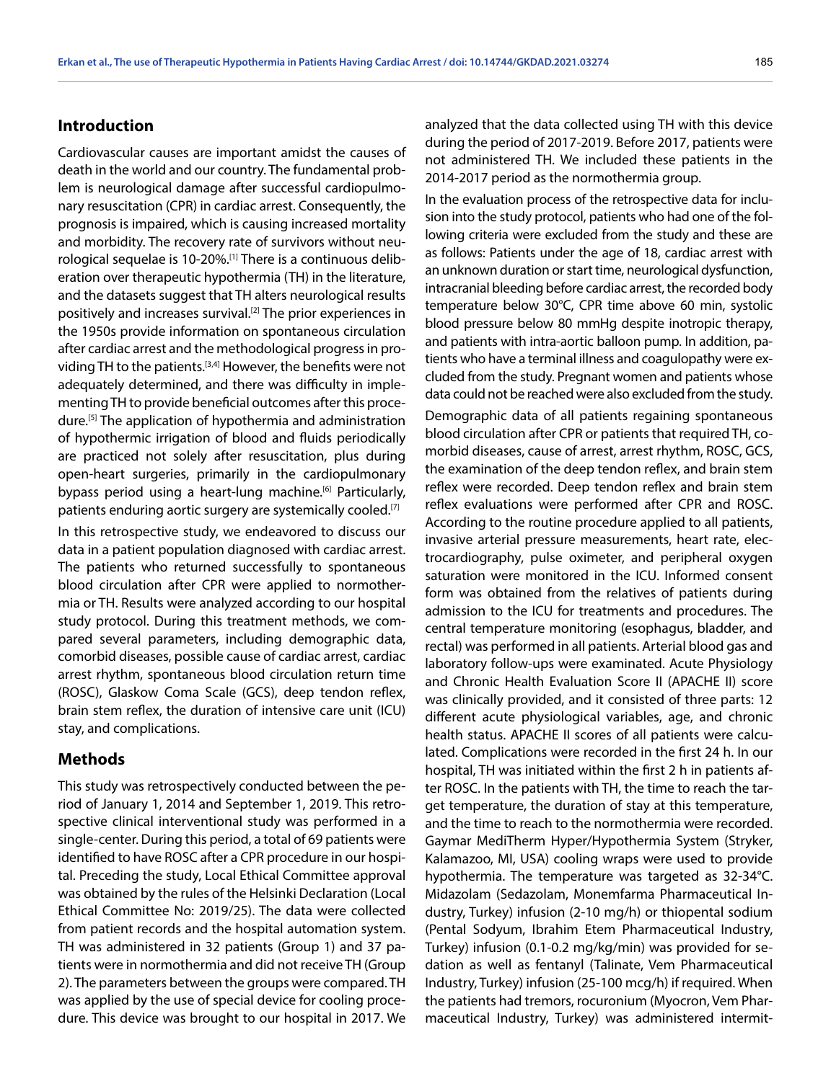## **Introduction**

Cardiovascular causes are important amidst the causes of death in the world and our country. The fundamental problem is neurological damage after successful cardiopulmonary resuscitation (CPR) in cardiac arrest. Consequently, the prognosis is impaired, which is causing increased mortality and morbidity. The recovery rate of survivors without neurological sequelae is 10-20%.[1] There is a continuous deliberation over therapeutic hypothermia (TH) in the literature, and the datasets suggest that TH alters neurological results positively and increases survival.<sup>[2]</sup> The prior experiences in the 1950s provide information on spontaneous circulation after cardiac arrest and the methodological progress in providing TH to the patients.<sup>[3,4]</sup> However, the benefits were not adequately determined, and there was difficulty in implementing TH to provide beneficial outcomes after this procedure.[5] The application of hypothermia and administration of hypothermic irrigation of blood and fluids periodically are practiced not solely after resuscitation, plus during open-heart surgeries, primarily in the cardiopulmonary bypass period using a heart-lung machine.<sup>[6]</sup> Particularly, patients enduring aortic surgery are systemically cooled.<sup>[7]</sup>

In this retrospective study, we endeavored to discuss our data in a patient population diagnosed with cardiac arrest. The patients who returned successfully to spontaneous blood circulation after CPR were applied to normothermia or TH. Results were analyzed according to our hospital study protocol. During this treatment methods, we compared several parameters, including demographic data, comorbid diseases, possible cause of cardiac arrest, cardiac arrest rhythm, spontaneous blood circulation return time (ROSC), Glaskow Coma Scale (GCS), deep tendon reflex, brain stem reflex, the duration of intensive care unit (ICU) stay, and complications.

#### **Methods**

This study was retrospectively conducted between the period of January 1, 2014 and September 1, 2019. This retrospective clinical interventional study was performed in a single-center. During this period, a total of 69 patients were identified to have ROSC after a CPR procedure in our hospital. Preceding the study, Local Ethical Committee approval was obtained by the rules of the Helsinki Declaration (Local Ethical Committee No: 2019/25). The data were collected from patient records and the hospital automation system. TH was administered in 32 patients (Group 1) and 37 patients were in normothermia and did not receive TH (Group 2). The parameters between the groups were compared. TH was applied by the use of special device for cooling procedure. This device was brought to our hospital in 2017. We analyzed that the data collected using TH with this device during the period of 2017-2019. Before 2017, patients were not administered TH. We included these patients in the 2014-2017 period as the normothermia group.

In the evaluation process of the retrospective data for inclusion into the study protocol, patients who had one of the following criteria were excluded from the study and these are as follows: Patients under the age of 18, cardiac arrest with an unknown duration or start time, neurological dysfunction, intracranial bleeding before cardiac arrest, the recorded body temperature below 30°C, CPR time above 60 min, systolic blood pressure below 80 mmHg despite inotropic therapy, and patients with intra-aortic balloon pump. In addition, patients who have a terminal illness and coagulopathy were excluded from the study. Pregnant women and patients whose data could not be reached were also excluded from the study.

Demographic data of all patients regaining spontaneous blood circulation after CPR or patients that required TH, comorbid diseases, cause of arrest, arrest rhythm, ROSC, GCS, the examination of the deep tendon reflex, and brain stem reflex were recorded. Deep tendon reflex and brain stem reflex evaluations were performed after CPR and ROSC. According to the routine procedure applied to all patients, invasive arterial pressure measurements, heart rate, electrocardiography, pulse oximeter, and peripheral oxygen saturation were monitored in the ICU. Informed consent form was obtained from the relatives of patients during admission to the ICU for treatments and procedures. The central temperature monitoring (esophagus, bladder, and rectal) was performed in all patients. Arterial blood gas and laboratory follow-ups were examinated. Acute Physiology and Chronic Health Evaluation Score II (APACHE II) score was clinically provided, and it consisted of three parts: 12 different acute physiological variables, age, and chronic health status. APACHE II scores of all patients were calculated. Complications were recorded in the first 24 h. In our hospital, TH was initiated within the first 2 h in patients after ROSC. In the patients with TH, the time to reach the target temperature, the duration of stay at this temperature, and the time to reach to the normothermia were recorded. Gaymar MediTherm Hyper/Hypothermia System (Stryker, Kalamazoo, MI, USA) cooling wraps were used to provide hypothermia. The temperature was targeted as 32-34°C. Midazolam (Sedazolam, Monemfarma Pharmaceutical Industry, Turkey) infusion (2-10 mg/h) or thiopental sodium (Pental Sodyum, Ibrahim Etem Pharmaceutical Industry, Turkey) infusion (0.1-0.2 mg/kg/min) was provided for sedation as well as fentanyl (Talinate, Vem Pharmaceutical Industry, Turkey) infusion (25-100 mcg/h) if required. When the patients had tremors, rocuronium (Myocron, Vem Pharmaceutical Industry, Turkey) was administered intermit-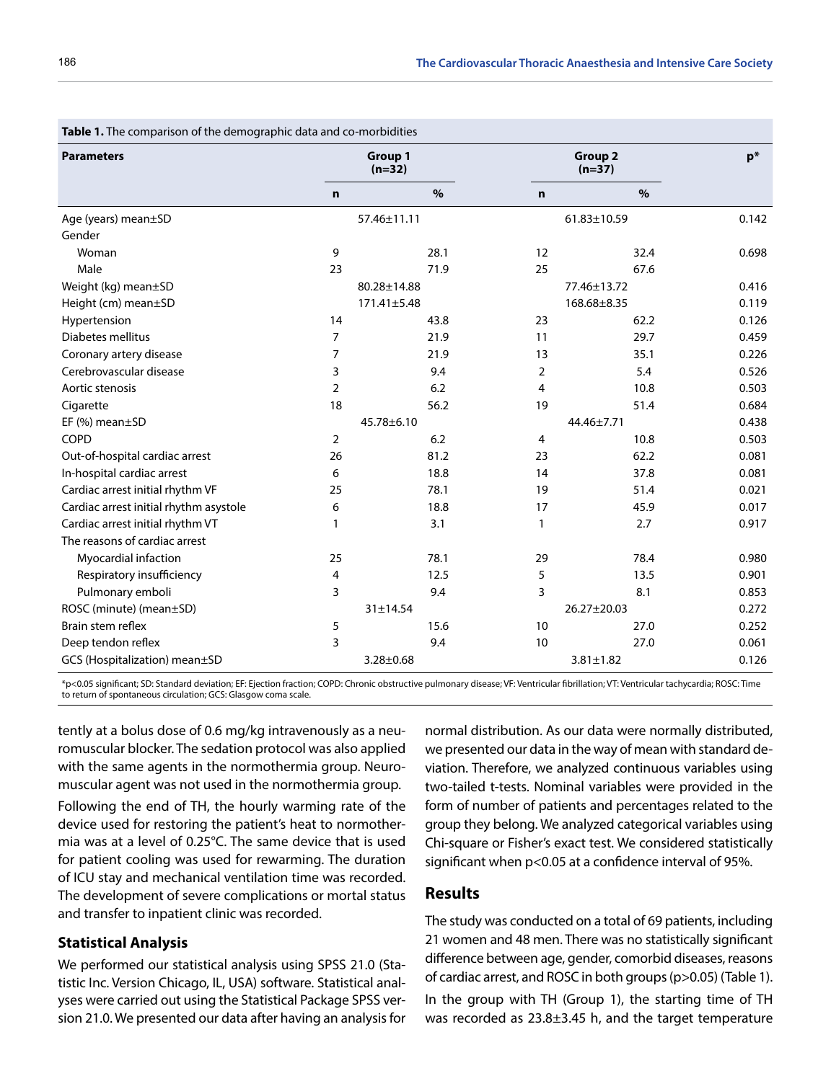| <b>Table 1.</b> The comparison of the demographic data and co-morbidities |                 |                            |                 |                            |       |  |  |  |
|---------------------------------------------------------------------------|-----------------|----------------------------|-----------------|----------------------------|-------|--|--|--|
| <b>Parameters</b>                                                         |                 | <b>Group 1</b><br>$(n=32)$ |                 | <b>Group 2</b><br>$(n=37)$ |       |  |  |  |
|                                                                           | $\mathbf n$     | $\%$                       | $\mathbf n$     | $\%$                       |       |  |  |  |
| Age (years) mean±SD                                                       | 57.46±11.11     |                            | 61.83±10.59     |                            | 0.142 |  |  |  |
| Gender                                                                    |                 |                            |                 |                            |       |  |  |  |
| Woman                                                                     | 9               | 28.1                       | 12              | 32.4                       | 0.698 |  |  |  |
| Male                                                                      | 23              | 71.9                       | 25              | 67.6                       |       |  |  |  |
| Weight (kg) mean±SD                                                       | 80.28±14.88     |                            | 77.46±13.72     |                            | 0.416 |  |  |  |
| Height (cm) mean±SD                                                       | 171.41±5.48     |                            | 168.68±8.35     |                            | 0.119 |  |  |  |
| Hypertension                                                              | 14              | 43.8                       | 23              | 62.2                       | 0.126 |  |  |  |
| Diabetes mellitus                                                         | $\overline{7}$  | 21.9                       | 11              | 29.7                       | 0.459 |  |  |  |
| Coronary artery disease                                                   | $\overline{7}$  | 21.9                       | 13              | 35.1                       | 0.226 |  |  |  |
| Cerebrovascular disease                                                   | 3               | 9.4                        | 2               | 5.4                        | 0.526 |  |  |  |
| Aortic stenosis                                                           | $\overline{2}$  | 6.2                        | 4               | 10.8                       | 0.503 |  |  |  |
| Cigarette                                                                 | 18              | 56.2                       | 19              | 51.4                       | 0.684 |  |  |  |
| EF $(\%)$ mean $\pm$ SD                                                   | 45.78±6.10      |                            | 44.46±7.71      |                            | 0.438 |  |  |  |
| <b>COPD</b>                                                               | $\overline{2}$  | 6.2                        | 4               | 10.8                       | 0.503 |  |  |  |
| Out-of-hospital cardiac arrest                                            | 26              | 81.2                       | 23              | 62.2                       | 0.081 |  |  |  |
| In-hospital cardiac arrest                                                | 6               | 18.8                       | 14              | 37.8                       | 0.081 |  |  |  |
| Cardiac arrest initial rhythm VF                                          | 25              | 78.1                       | 19              | 51.4                       | 0.021 |  |  |  |
| Cardiac arrest initial rhythm asystole                                    | 6               | 18.8                       | 17              | 45.9                       | 0.017 |  |  |  |
| Cardiac arrest initial rhythm VT                                          | 1               | 3.1                        | 1               | 2.7                        | 0.917 |  |  |  |
| The reasons of cardiac arrest                                             |                 |                            |                 |                            |       |  |  |  |
| Myocardial infaction                                                      | 25              | 78.1                       | 29              | 78.4                       | 0.980 |  |  |  |
| Respiratory insufficiency                                                 | 4               | 12.5                       | 5               | 13.5                       | 0.901 |  |  |  |
| Pulmonary emboli                                                          | 3               | 9.4                        | 3               | 8.1                        | 0.853 |  |  |  |
| ROSC (minute) (mean±SD)                                                   | 31±14.54        |                            | 26.27±20.03     |                            | 0.272 |  |  |  |
| Brain stem reflex                                                         | 5               | 15.6                       | 10              | 27.0                       | 0.252 |  |  |  |
| Deep tendon reflex                                                        | 3               | 9.4                        | 10              | 27.0                       | 0.061 |  |  |  |
| GCS (Hospitalization) mean±SD                                             | $3.28 \pm 0.68$ |                            | $3.81 \pm 1.82$ | 0.126                      |       |  |  |  |

**Table 1.** The comparison of the demographic data and co-morbidities

\*p<0.05 significant; SD: Standard deviation; EF: Ejection fraction; COPD: Chronic obstructive pulmonary disease; VF: Ventricular fibrillation; VT: Ventricular tachycardia; ROSC: Time to return of spontaneous circulation; GCS: Glasgow coma scale.

tently at a bolus dose of 0.6 mg/kg intravenously as a neuromuscular blocker. The sedation protocol was also applied with the same agents in the normothermia group. Neuromuscular agent was not used in the normothermia group.

Following the end of TH, the hourly warming rate of the device used for restoring the patient's heat to normothermia was at a level of 0.25°C. The same device that is used for patient cooling was used for rewarming. The duration of ICU stay and mechanical ventilation time was recorded. The development of severe complications or mortal status and transfer to inpatient clinic was recorded.

#### **Statistical Analysis**

We performed our statistical analysis using SPSS 21.0 (Statistic Inc. Version Chicago, IL, USA) software. Statistical analyses were carried out using the Statistical Package SPSS version 21.0. We presented our data after having an analysis for

normal distribution. As our data were normally distributed, we presented our data in the way of mean with standard deviation. Therefore, we analyzed continuous variables using two-tailed t-tests. Nominal variables were provided in the form of number of patients and percentages related to the group they belong. We analyzed categorical variables using Chi-square or Fisher's exact test. We considered statistically significant when p<0.05 at a confidence interval of 95%.

#### **Results**

The study was conducted on a total of 69 patients, including 21 women and 48 men. There was no statistically significant difference between age, gender, comorbid diseases, reasons of cardiac arrest, and ROSC in both groups (p>0.05) (Table 1).

In the group with TH (Group 1), the starting time of TH was recorded as 23.8±3.45 h, and the target temperature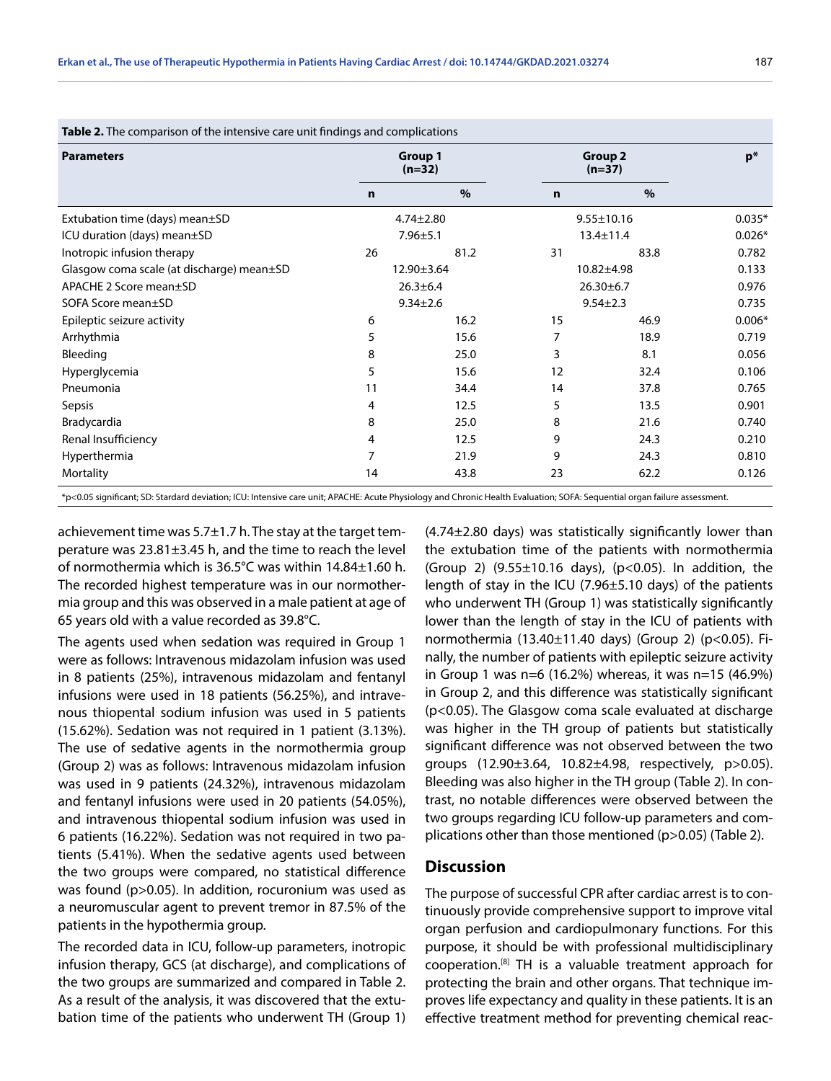| <b>Parameters</b>                         | <b>Group 1</b><br>$(n=32)$ |      | <b>Group 2</b><br>$(n=37)$ |      | $p*$     |
|-------------------------------------------|----------------------------|------|----------------------------|------|----------|
|                                           | $\mathbf n$                | $\%$ | $\mathbf n$                | $\%$ |          |
| Extubation time (days) mean±SD            | $4.74 \pm 2.80$            |      | $9.55 \pm 10.16$           |      | $0.035*$ |
| ICU duration (days) mean±SD               | $7.96 \pm 5.1$             |      | $13.4 \pm 11.4$            |      | $0.026*$ |
| Inotropic infusion therapy                | 26                         | 81.2 | 31                         | 83.8 | 0.782    |
| Glasgow coma scale (at discharge) mean±SD | 12.90±3.64                 |      | $10.82{\pm}4.98$           |      | 0.133    |
| APACHE 2 Score mean±SD                    | $26.3 \pm 6.4$             |      | $26.30 \pm 6.7$            |      | 0.976    |
| SOFA Score mean±SD                        | $9.34 \pm 2.6$             |      | $9.54 \pm 2.3$             |      | 0.735    |
| Epileptic seizure activity                | 6                          | 16.2 | 15                         | 46.9 | $0.006*$ |
| Arrhythmia                                | 5                          | 15.6 | 7                          | 18.9 | 0.719    |
| Bleeding                                  | 8                          | 25.0 | 3                          | 8.1  | 0.056    |
| Hyperglycemia                             | 5                          | 15.6 | 12                         | 32.4 | 0.106    |
| Pneumonia                                 | 11                         | 34.4 | 14                         | 37.8 | 0.765    |
| Sepsis                                    | 4                          | 12.5 | 5                          | 13.5 | 0.901    |
| Bradycardia                               | 8                          | 25.0 | 8                          | 21.6 | 0.740    |
| Renal Insufficiency                       | 4                          | 12.5 | 9                          | 24.3 | 0.210    |
| Hyperthermia                              | 7                          | 21.9 | 9                          | 24.3 | 0.810    |
| Mortality                                 | 14                         | 43.8 | 23                         | 62.2 | 0.126    |

**Table 2.** The comparison of the intensive care unit findings and complications

achievement time was 5.7±1.7 h. The stay at the target temperature was 23.81±3.45 h, and the time to reach the level of normothermia which is 36.5°C was within 14.84±1.60 h. The recorded highest temperature was in our normothermia group and this was observed in a male patient at age of 65 years old with a value recorded as 39.8°C.

The agents used when sedation was required in Group 1 were as follows: Intravenous midazolam infusion was used in 8 patients (25%), intravenous midazolam and fentanyl infusions were used in 18 patients (56.25%), and intravenous thiopental sodium infusion was used in 5 patients (15.62%). Sedation was not required in 1 patient (3.13%). The use of sedative agents in the normothermia group (Group 2) was as follows: Intravenous midazolam infusion was used in 9 patients (24.32%), intravenous midazolam and fentanyl infusions were used in 20 patients (54.05%), and intravenous thiopental sodium infusion was used in 6 patients (16.22%). Sedation was not required in two patients (5.41%). When the sedative agents used between the two groups were compared, no statistical difference was found (p>0.05). In addition, rocuronium was used as a neuromuscular agent to prevent tremor in 87.5% of the patients in the hypothermia group.

The recorded data in ICU, follow-up parameters, inotropic infusion therapy, GCS (at discharge), and complications of the two groups are summarized and compared in Table 2. As a result of the analysis, it was discovered that the extubation time of the patients who underwent TH (Group 1) (4.74±2.80 days) was statistically significantly lower than the extubation time of the patients with normothermia (Group 2)  $(9.55 \pm 10.16 \text{ days})$ ,  $(p<0.05)$ . In addition, the length of stay in the ICU (7.96±5.10 days) of the patients who underwent TH (Group 1) was statistically significantly lower than the length of stay in the ICU of patients with normothermia (13.40±11.40 days) (Group 2) (p<0.05). Finally, the number of patients with epileptic seizure activity in Group 1 was n=6 (16.2%) whereas, it was n=15 (46.9%) in Group 2, and this difference was statistically significant (p<0.05). The Glasgow coma scale evaluated at discharge was higher in the TH group of patients but statistically significant difference was not observed between the two groups (12.90±3.64, 10.82±4.98, respectively, p>0.05). Bleeding was also higher in the TH group (Table 2). In contrast, no notable differences were observed between the two groups regarding ICU follow-up parameters and complications other than those mentioned (p>0.05) (Table 2).

#### **Discussion**

The purpose of successful CPR after cardiac arrest is to continuously provide comprehensive support to improve vital organ perfusion and cardiopulmonary functions. For this purpose, it should be with professional multidisciplinary cooperation.[8] TH is a valuable treatment approach for protecting the brain and other organs. That technique improves life expectancy and quality in these patients. It is an effective treatment method for preventing chemical reac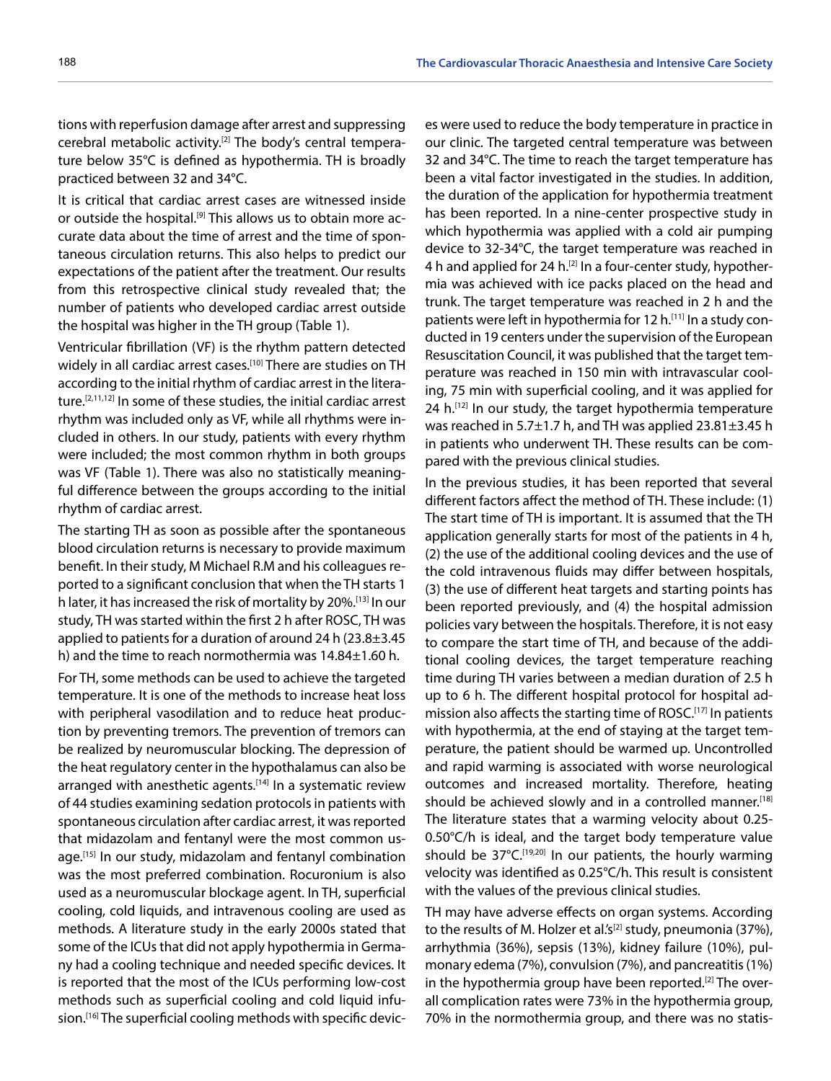tions with reperfusion damage after arrest and suppressing cerebral metabolic activity.[2] The body's central temperature below 35°C is defined as hypothermia. TH is broadly practiced between 32 and 34°C.

It is critical that cardiac arrest cases are witnessed inside or outside the hospital.<sup>[9]</sup> This allows us to obtain more accurate data about the time of arrest and the time of spontaneous circulation returns. This also helps to predict our expectations of the patient after the treatment. Our results from this retrospective clinical study revealed that; the number of patients who developed cardiac arrest outside the hospital was higher in the TH group (Table 1).

Ventricular fibrillation (VF) is the rhythm pattern detected widely in all cardiac arrest cases.<sup>[10]</sup> There are studies on TH according to the initial rhythm of cardiac arrest in the literature.[2,11,12] In some of these studies, the initial cardiac arrest rhythm was included only as VF, while all rhythms were included in others. In our study, patients with every rhythm were included; the most common rhythm in both groups was VF (Table 1). There was also no statistically meaningful difference between the groups according to the initial rhythm of cardiac arrest.

The starting TH as soon as possible after the spontaneous blood circulation returns is necessary to provide maximum benefit. In their study, M Michael R.M and his colleagues reported to a significant conclusion that when the TH starts 1 h later, it has increased the risk of mortality by 20%.[13] In our study, TH was started within the first 2 h after ROSC, TH was applied to patients for a duration of around 24 h  $(23.8\pm3.45$ h) and the time to reach normothermia was 14.84±1.60 h.

For TH, some methods can be used to achieve the targeted temperature. It is one of the methods to increase heat loss with peripheral vasodilation and to reduce heat production by preventing tremors. The prevention of tremors can be realized by neuromuscular blocking. The depression of the heat regulatory center in the hypothalamus can also be arranged with anesthetic agents.<sup>[14]</sup> In a systematic review of 44 studies examining sedation protocols in patients with spontaneous circulation after cardiac arrest, it was reported that midazolam and fentanyl were the most common usage.<sup>[15]</sup> In our study, midazolam and fentanyl combination was the most preferred combination. Rocuronium is also used as a neuromuscular blockage agent. In TH, superficial cooling, cold liquids, and intravenous cooling are used as methods. A literature study in the early 2000s stated that some of the ICUs that did not apply hypothermia in Germany had a cooling technique and needed specific devices. It is reported that the most of the ICUs performing low-cost methods such as superficial cooling and cold liquid infusion.<sup>[16]</sup> The superficial cooling methods with specific devic-

es were used to reduce the body temperature in practice in our clinic. The targeted central temperature was between 32 and 34°C. The time to reach the target temperature has been a vital factor investigated in the studies. In addition, the duration of the application for hypothermia treatment has been reported. In a nine-center prospective study in which hypothermia was applied with a cold air pumping device to 32-34°C, the target temperature was reached in 4 h and applied for 24 h.[2] In a four-center study, hypothermia was achieved with ice packs placed on the head and trunk. The target temperature was reached in 2 h and the patients were left in hypothermia for 12 h.<sup>[11]</sup> In a study conducted in 19 centers under the supervision of the European Resuscitation Council, it was published that the target temperature was reached in 150 min with intravascular cooling, 75 min with superficial cooling, and it was applied for 24 h.<sup>[12]</sup> In our study, the target hypothermia temperature was reached in 5.7±1.7 h, and TH was applied 23.81±3.45 h in patients who underwent TH. These results can be compared with the previous clinical studies.

In the previous studies, it has been reported that several different factors affect the method of TH. These include: (1) The start time of TH is important. It is assumed that the TH application generally starts for most of the patients in 4 h, (2) the use of the additional cooling devices and the use of the cold intravenous fluids may differ between hospitals, (3) the use of different heat targets and starting points has been reported previously, and (4) the hospital admission policies vary between the hospitals. Therefore, it is not easy to compare the start time of TH, and because of the additional cooling devices, the target temperature reaching time during TH varies between a median duration of 2.5 h up to 6 h. The different hospital protocol for hospital admission also affects the starting time of ROSC.[17] In patients with hypothermia, at the end of staying at the target temperature, the patient should be warmed up. Uncontrolled and rapid warming is associated with worse neurological outcomes and increased mortality. Therefore, heating should be achieved slowly and in a controlled manner.<sup>[18]</sup> The literature states that a warming velocity about 0.25- 0.50°C/h is ideal, and the target body temperature value should be  $37^{\circ}C$ .<sup>[19,20]</sup> In our patients, the hourly warming velocity was identified as 0.25°C/h. This result is consistent with the values of the previous clinical studies.

TH may have adverse effects on organ systems. According to the results of M. Holzer et al.'s<sup>[2]</sup> study, pneumonia (37%), arrhythmia (36%), sepsis (13%), kidney failure (10%), pulmonary edema (7%), convulsion (7%), and pancreatitis (1%) in the hypothermia group have been reported.[2] The overall complication rates were 73% in the hypothermia group, 70% in the normothermia group, and there was no statis-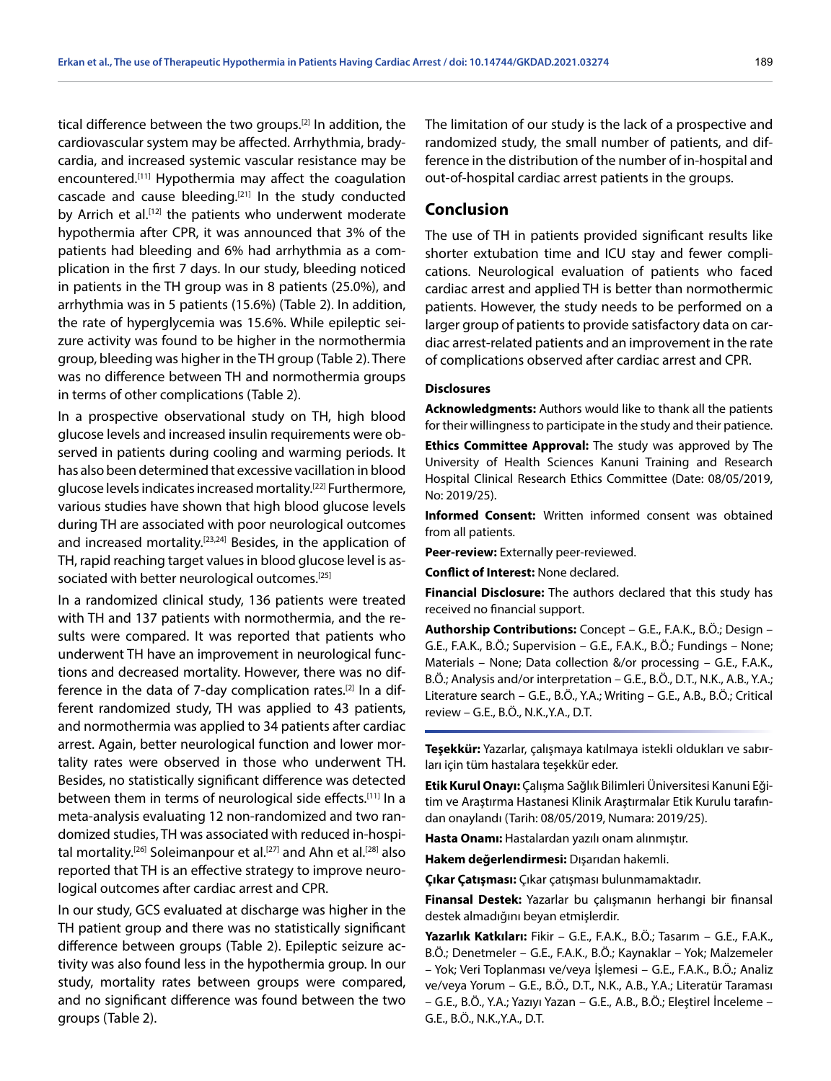tical difference between the two groups.<sup>[2]</sup> In addition, the cardiovascular system may be affected. Arrhythmia, bradycardia, and increased systemic vascular resistance may be encountered.[11] Hypothermia may affect the coagulation cascade and cause bleeding.[21] In the study conducted by Arrich et al.<sup>[12]</sup> the patients who underwent moderate hypothermia after CPR, it was announced that 3% of the patients had bleeding and 6% had arrhythmia as a complication in the first 7 days. In our study, bleeding noticed in patients in the TH group was in 8 patients (25.0%), and arrhythmia was in 5 patients (15.6%) (Table 2). In addition, the rate of hyperglycemia was 15.6%. While epileptic seizure activity was found to be higher in the normothermia group, bleeding was higher in the TH group (Table 2). There was no difference between TH and normothermia groups in terms of other complications (Table 2).

In a prospective observational study on TH, high blood glucose levels and increased insulin requirements were observed in patients during cooling and warming periods. It has also been determined that excessive vacillation in blood glucose levels indicates increased mortality.[22] Furthermore, various studies have shown that high blood glucose levels during TH are associated with poor neurological outcomes and increased mortality.<sup>[23,24]</sup> Besides, in the application of TH, rapid reaching target values in blood glucose level is associated with better neurological outcomes.<sup>[25]</sup>

In a randomized clinical study, 136 patients were treated with TH and 137 patients with normothermia, and the results were compared. It was reported that patients who underwent TH have an improvement in neurological functions and decreased mortality. However, there was no difference in the data of 7-day complication rates.<sup>[2]</sup> In a different randomized study, TH was applied to 43 patients, and normothermia was applied to 34 patients after cardiac arrest. Again, better neurological function and lower mortality rates were observed in those who underwent TH. Besides, no statistically significant difference was detected between them in terms of neurological side effects.[11] In a meta-analysis evaluating 12 non-randomized and two randomized studies, TH was associated with reduced in-hospital mortality.<sup>[26]</sup> Soleimanpour et al.<sup>[27]</sup> and Ahn et al.<sup>[28]</sup> also reported that TH is an effective strategy to improve neurological outcomes after cardiac arrest and CPR.

In our study, GCS evaluated at discharge was higher in the TH patient group and there was no statistically significant difference between groups (Table 2). Epileptic seizure activity was also found less in the hypothermia group. In our study, mortality rates between groups were compared, and no significant difference was found between the two groups (Table 2).

The limitation of our study is the lack of a prospective and randomized study, the small number of patients, and difference in the distribution of the number of in-hospital and out-of-hospital cardiac arrest patients in the groups.

## **Conclusion**

The use of TH in patients provided significant results like shorter extubation time and ICU stay and fewer complications. Neurological evaluation of patients who faced cardiac arrest and applied TH is better than normothermic patients. However, the study needs to be performed on a larger group of patients to provide satisfactory data on cardiac arrest-related patients and an improvement in the rate of complications observed after cardiac arrest and CPR.

#### **Disclosures**

**Acknowledgments:** Authors would like to thank all the patients for their willingness to participate in the study and their patience.

**Ethics Committee Approval:** The study was approved by The University of Health Sciences Kanuni Training and Research Hospital Clinical Research Ethics Committee (Date: 08/05/2019, No: 2019/25).

**Informed Consent:** Written informed consent was obtained from all patients.

**Peer-review:** Externally peer-reviewed.

**Conflict of Interest:** None declared.

**Financial Disclosure:** The authors declared that this study has received no financial support.

**Authorship Contributions:** Concept – G.E., F.A.K., B.Ö.; Design – G.E., F.A.K., B.Ö.; Supervision – G.E., F.A.K., B.Ö.; Fundings – None; Materials – None; Data collection &/or processing – G.E., F.A.K., B.Ö.; Analysis and/or interpretation – G.E., B.Ö., D.T., N.K., A.B., Y.A.; Literature search – G.E., B.Ö., Y.A.; Writing – G.E., A.B., B.Ö.; Critical review – G.E., B.Ö., N.K.,Y.A., D.T.

**Teşekkür:** Yazarlar, çalışmaya katılmaya istekli oldukları ve sabırları için tüm hastalara teşekkür eder.

**Etik Kurul Onayı:** Çalışma Sağlık Bilimleri Üniversitesi Kanuni Eğitim ve Araştırma Hastanesi Klinik Araştırmalar Etik Kurulu tarafından onaylandı (Tarih: 08/05/2019, Numara: 2019/25).

**Hasta Onamı:** Hastalardan yazılı onam alınmıştır.

**Hakem değerlendirmesi:** Dışarıdan hakemli.

**Çıkar Çatışması:** Çıkar çatışması bulunmamaktadır.

**Finansal Destek:** Yazarlar bu çalışmanın herhangi bir finansal destek almadığını beyan etmişlerdir.

**Yazarlık Katkıları:** Fikir – G.E., F.A.K., B.Ö.; Tasarım – G.E., F.A.K., B.Ö.; Denetmeler – G.E., F.A.K., B.Ö.; Kaynaklar – Yok; Malzemeler – Yok; Veri Toplanması ve/veya İşlemesi – G.E., F.A.K., B.Ö.; Analiz ve/veya Yorum – G.E., B.Ö., D.T., N.K., A.B., Y.A.; Literatür Taraması – G.E., B.Ö., Y.A.; Yazıyı Yazan – G.E., A.B., B.Ö.; Eleştirel İnceleme – G.E., B.Ö., N.K.,Y.A., D.T.